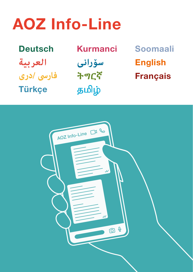# AOZ Info-Line

Deutsch Kurmanci English **العربية فارىس /درى Türkçe** 

**سۆرانی ትግርኛ** தமிழ்

Français Soomaali

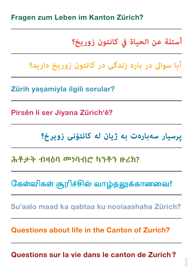#### Fragen zum Leben im Kanton Zürich?

### **أسئلة عن الحياة يف كانتون زوريخ؟**

**آیا سواىل در باره زندگی در کانتون زوریخ دارید؟**

Zürih yaşamiyla ilgili sorular?

Pirsên li ser Jiyana Zürich'ê?

## **پرسیار سه سه باره ت به ژیان له له کانتۆنی زویرخ؟ زویرخ؟**

**ሕቶታት ብዛዕባ መነባብሮ ካንቶን ዙሪክ?**

கேள்விகள் சூரிச்சில் வாழ்தலுக்கானவை?

Su'aalo maad ka qabtaa ku noolaashaha Zürich?

Questions about life in the Canton of Zurich?

Questions sur la vie dans le canton de Zurich ?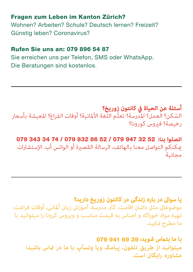#### Fragen zum Leben im Kanton Zürich?

Wohnen? Arbeiten? Schule? Deutsch lernen? Freizeit? Günstig leben? Coronavirus?

#### Rufen Sie uns an: 079 896 54 87

Sie erreichen uns per Telefon, SMS oder WhatsApp. Die Beratungen sind kostenlos.

**أسئلة عن الحياة في كانتون زوريخ؟**<br>السّكن؟ العمل؟ المدرسة؟ تعلّم اللغة الألمانية؟ أوقات الفراغ؟ المعيشة بأسعار السّكن؟ العمل؟ الملّارسة؟ تعلّ<br>رخيصة؟ فيروس كورونا؟

### **اتصلوا بنا:**  079 343 34 74 / 079 832 86 52 / 079 947 32 52

ميكنكم التواصل معنا بالهاتف، الرسالة القصرية أو الواتس أب. اإلستشارات مجانية

### **یا سواىل در باره زندگی در کانتون زوریخ دارید؟**

موضوعاتی مثل داشتن اقامت، کار، مدرسه، آموزش زبان آلمانی، أوقات فراغت، تهیه مواد خوراکه و اجناس به قیمت مناسب و ویروس کرونا را میتوانید با ما مطرح مایید.

#### **با ما بتامس شوید:**  079 941 69 39

**میتوانید از طریق تلفون، پیامک ویا وتسآپ با ما در متاس باشید؛ مشاوره رایگان است.**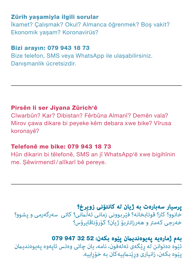#### Zürih yaşamiyla ilgili sorular

İkamet? Çalışmak? Okul? Almanca öğrenmek? Boş vakit? Ekonomik yaşam? Koronavirüs?

#### Bizi arayın: 079 943 18 73

Bize telefon, SMS veya WhatsApp ile ulaşabilirsiniz. Danışmanlik ücretsizdir.

#### Pirsên li ser Jiyana Zürich'ê

Cîwarbûn? Kar? Dibistan? Fêrbûna Almanî? Demên vala? Mirov çawa dikare bi peyeke kêm debara xwe bike? Vîrusa koronayê?

#### Telefonê me bike: 079 943 18 73

Hûn dikarin bi têlefonê, SMS an jî WhatsApp'ê xwe bigihînin me. Şêwirmendî/ alîkarî bê pereye.

#### **پرسیار سه سه باره ت به ژیان له له کانتۆنی زویرخ؟ زویرخ؟**

خانوو؟ كار؟ قوتابخانه؟ فێربوونی زمانی ئهڵامنی؟ كاتی سهرگهرمی و پشوو؟ خهرجی كهمتر و ههرزانتریۆ ژیان؟ كۆرۆناڤایرۆس؟

#### **بەم ژمارەیە پەیوەندیامن پێوە بکەن:** 079 947 32 52

ئێوه دەتوانن له رێگەی تەلەفون، نامه، یان چاتی وەتس ئاپەوە پەيوەندیمان پێوە بکەن، زانیاری ورێنماییەکان بە خۆراپیە.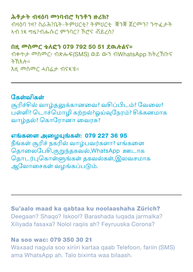#### **ሕቶታት ብዛዕባ መነባብሮ ካንቶን ዙሪክ?**

ብዛዕባ ገዛ? ስራሕ?ቤት-ትምህርቲ? ትምህርቲ ቛንቛ ጀርመን? ንጥፈታት ኣብ ነጻ ግዜ?ብሑሱር ምንባር? ኾሮና ቭይረስ?

#### **በዚ መስመር ቴለፎን** 079 792 50 51 **ደዉሉልና።**

ብቀጥታ መስመር፡ ብጽሑፍ(SMS) ወይ ውን ብWhatsApp ክትረኽቡና ትኽእሉ። እዚ መስመር ሓበሬታ ብናጻ'ዩ።

கேள்விகள் சூரிச்சில் வாழ்தலுக்கானவை? வசிப்பிடம்? வேலை? பள்ளி? டொச்மொழி கற்றல்?ஓய்வுநேரம்? சிக்கனமாக வாழ்தல் ? கொரோனா வைரசு?

எங்களை அழையுங்கள்: 079 227 36 95 நீங்கள் சூரிச் நகரில் வாழ்பவர்களா? எங்களை தொலைபேசி,குறுந்தகவல்,WhatsApp ஊடாக கொடர்புகொள்ளுங்கள் தகவல்கள்,இலவசமாக ஆலோசைகள் வழங்கப்படும்.

Su'aalo maad ka qabtaa ku noolaashaha Zürich? Deegaan? Shaqo? Iskool? Barashada luqada jarmalka? Xiliyada fasaxa? Nolol raqiis ah? Feyruuska Corona?

#### Na soo wac: 079 350 30 21

Waxaad nagula soo xiriiri kartaa qaab Telefoon, fariin (SMS) ama WhatsApp ah. Talo bixinta waa bilaash.